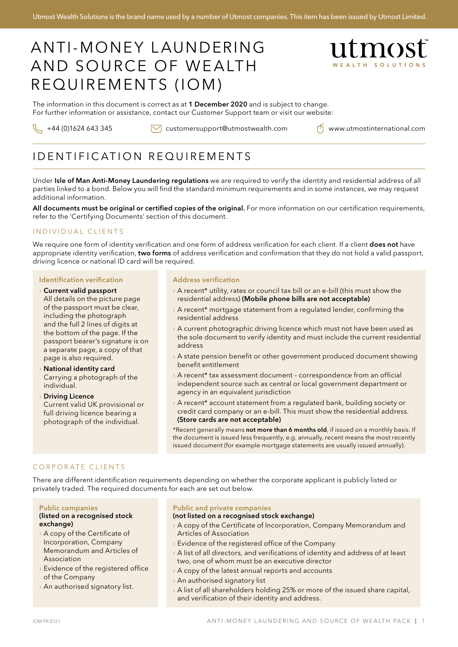# Anti-money laundering and source of wealth REQUIREMENTS (IOM)



The information in this document is correct as at 1 December 2020 and is subject to change. For further information or assistance, contact our Customer Support team or visit our website:

 $\setminus$  +44 (0)1624 643 345  $\setminus$  customersupport@utmostwealth.com  $\cap$  www.utmostinternational.com

# IDENTIFICATION REQUIREMENTS

Under Isle of Man Anti-Money Laundering regulations we are required to verify the identity and residential address of all parties linked to a bond. Below you will find the standard minimum requirements and in some instances, we may request additional information.

All documents must be original or certified copies of the original. For more information on our certification requirements, refer to the 'Certifying Documents' section of this document.

## INDIVIDUAL CLIENTS

We require one form of identity verification and one form of address verification for each client. If a client does not have appropriate identity verification, two forms of address verification and confirmation that they do not hold a valid passport, driving licence or national ID card will be required.

#### Identification verification

› Current valid passport All details on the picture page of the passport must be clear, including the photograph and the full 2 lines of digits at the bottom of the page. If the passport bearer's signature is on a separate page, a copy of that page is also required.

› National identity card Carrying a photograph of the individual.

› Driving Licence Current valid UK provisional or full driving licence bearing a photograph of the individual.

#### Address verification

- > A recent\* utility, rates or council tax bill or an e-bill (this must show the residential address) (Mobile phone bills are not acceptable)
- › A recent\* mortgage statement from a regulated lender, confirming the residential address
- › A current photographic driving licence which must not have been used as the sole document to verify identity and must include the current residential address
- › A state pension benefit or other government produced document showing benefit entitlement
- › A recent\* tax assessment document correspondence from an official independent source such as central or local government department or agency in an equivalent jurisdiction
- › A recent\* account statement from a regulated bank, building society or credit card company or an e-bill. This must show the residential address. (Store cards are not acceptable)

\*Recent generally means not more than 6 months old, if issued on a monthly basis. If the document is issued less frequently, e.g. annually, recent means the most recently issued document (for example mortgage statements are usually issued annually).

### CORPORATE CLIENTS

There are different identification requirements depending on whether the corporate applicant is publicly listed or privately traded. The required documents for each are set out below.

#### Public companies (listed on a recognised stock exchange)

- › A copy of the Certificate of Incorporation, Company Memorandum and Articles of Association
- › Evidence of the registered office of the Company
- › An authorised signatory list.

#### Public and private companies

#### (not listed on a recognised stock exchange)

- › A copy of the Certificate of Incorporation, Company Memorandum and Articles of Association
- › Evidence of the registered office of the Company
- $\rightarrow$  A list of all directors, and verifications of identity and address of at least two, one of whom must be an executive director
- › A copy of the latest annual reports and accounts
- › An authorised signatory list
- › A list of all shareholders holding 25% or more of the issued share capital, and verification of their identity and address.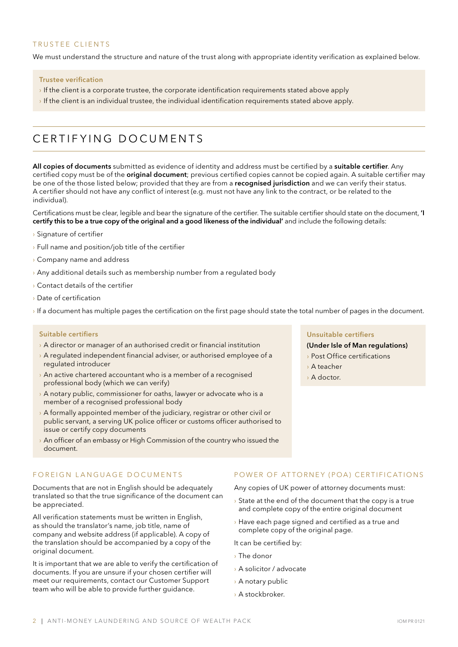### TRUSTEE CLIENTS

We must understand the structure and nature of the trust along with appropriate identity verification as explained below.

#### Trustee verification

- If the client is a corporate trustee, the corporate identification requirements stated above apply
- If the client is an individual trustee, the individual identification requirements stated above apply.

# certifying documents

All copies of documents submitted as evidence of identity and address must be certified by a suitable certifier. Any certified copy must be of the **original document**; previous certified copies cannot be copied again. A suitable certifier may be one of the those listed below; provided that they are from a recognised jurisdiction and we can verify their status. A certifier should not have any conflict of interest (e.g. must not have any link to the contract, or be related to the individual).

Certifications must be clear, legible and bear the signature of the certifier. The suitable certifier should state on the document, 'I certify this to be a true copy of the original and a good likeness of the individual' and include the following details:

- › Signature of certifier
- › Full name and position/job title of the certifier
- › Company name and address
- $\rightarrow$  Any additional details such as membership number from a regulated body
- › Contact details of the certifier
- › Date of certification
- › If a document has multiple pages the certification on the first page should state the total number of pages in the document.

#### Suitable certifiers

- › A director or manager of an authorised credit or financial institution
- › A regulated independent financial adviser, or authorised employee of a regulated introducer
- › An active chartered accountant who is a member of a recognised professional body (which we can verify)
- › A notary public, commissioner for oaths, lawyer or advocate who is a member of a recognised professional body
- › A formally appointed member of the judiciary, registrar or other civil or public servant, a serving UK police officer or customs officer authorised to issue or certify copy documents
- › An officer of an embassy or High Commission of the country who issued the document.

### FOREIGN LANGUAGE DOCUMENTS

Documents that are not in English should be adequately translated so that the true significance of the document can be appreciated.

All verification statements must be written in English, as should the translator's name, job title, name of company and website address (if applicable). A copy of the translation should be accompanied by a copy of the original document.

It is important that we are able to verify the certification of documents. If you are unsure if your chosen certifier will meet our requirements, contact our Customer Support team who will be able to provide further guidance.

#### Unsuitable certifiers

(Under Isle of Man regulations)

- › Post Office certifications
- › A teacher
- › A doctor.

#### POWER OF ATTORNEY (POA) CERTIFICATIONS

Any copies of UK power of attorney documents must:

- $\rightarrow$  State at the end of the document that the copy is a true and complete copy of the entire original document
- › Have each page signed and certified as a true and complete copy of the original page.

It can be certified by:

- › The donor
- › A solicitor / advocate
- › A notary public
- › A stockbroker.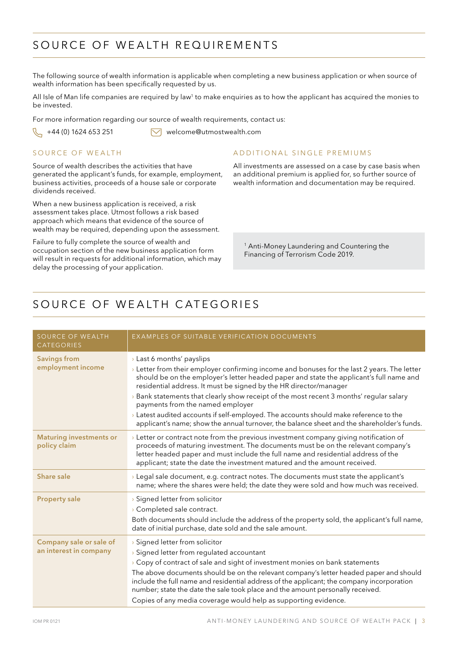# S ource of wealth requirements

The following source of wealth information is applicable when completing a new business application or when source of wealth information has been specifically requested by us.

All Isle of Man life companies are required by law<sup>1</sup> to make enquiries as to how the applicant has acquired the monies to be invested.

For more information regarding our source of wealth requirements, contact us:

 $\sqrt{\phantom{a}}$  +44 (0) 1624 653 251  $\sqrt{\phantom{a}}$  welcome@utmostwealth.com

### SOURCE OF WEALTH

Source of wealth describes the activities that have generated the applicant's funds, for example, employment, business activities, proceeds of a house sale or corporate dividends received.

When a new business application is received, a risk assessment takes place. Utmost follows a risk based approach which means that evidence of the source of wealth may be required, depending upon the assessment.

Failure to fully complete the source of wealth and occupation section of the new business application form will result in requests for additional information, which may delay the processing of your application.

### ADDITIONAL SINGLE PREMIUMS

All investments are assessed on a case by case basis when an additional premium is applied for, so further source of wealth information and documentation may be required.

<sup>1</sup> Anti-Money Laundering and Countering the Financing of Terrorism Code 2019.

# S ource of wealth categories

| <b>SOURCE OF WEALTH</b><br>CATEGORIES             | <b>EXAMPLES OF SUITABLE VERIFICATION DOCUMENTS</b>                                                                                                                                                                                                                                                                                                                                                                                                                                                                                                                                                                         |
|---------------------------------------------------|----------------------------------------------------------------------------------------------------------------------------------------------------------------------------------------------------------------------------------------------------------------------------------------------------------------------------------------------------------------------------------------------------------------------------------------------------------------------------------------------------------------------------------------------------------------------------------------------------------------------------|
| <b>Savings from</b><br>employment income          | > Last 6 months' payslips<br>$\rightarrow$ Letter from their employer confirming income and bonuses for the last 2 years. The letter<br>should be on the employer's letter headed paper and state the applicant's full name and<br>residential address. It must be signed by the HR director/manager<br>> Bank statements that clearly show receipt of the most recent 3 months' regular salary<br>payments from the named employer<br>> Latest audited accounts if self-employed. The accounts should make reference to the<br>applicant's name; show the annual turnover, the balance sheet and the shareholder's funds. |
| <b>Maturing investments or</b><br>policy claim    | $\rightarrow$ Letter or contract note from the previous investment company giving notification of<br>proceeds of maturing investment. The documents must be on the relevant company's<br>letter headed paper and must include the full name and residential address of the<br>applicant; state the date the investment matured and the amount received.                                                                                                                                                                                                                                                                    |
| Share sale                                        | > Legal sale document, e.g. contract notes. The documents must state the applicant's<br>name; where the shares were held; the date they were sold and how much was received.                                                                                                                                                                                                                                                                                                                                                                                                                                               |
| <b>Property sale</b>                              | > Signed letter from solicitor<br>> Completed sale contract.<br>Both documents should include the address of the property sold, the applicant's full name,<br>date of initial purchase, date sold and the sale amount.                                                                                                                                                                                                                                                                                                                                                                                                     |
| Company sale or sale of<br>an interest in company | > Signed letter from solicitor<br>> Signed letter from regulated accountant<br>> Copy of contract of sale and sight of investment monies on bank statements<br>The above documents should be on the relevant company's letter headed paper and should<br>include the full name and residential address of the applicant; the company incorporation<br>number; state the date the sale took place and the amount personally received.<br>Copies of any media coverage would help as supporting evidence.                                                                                                                    |